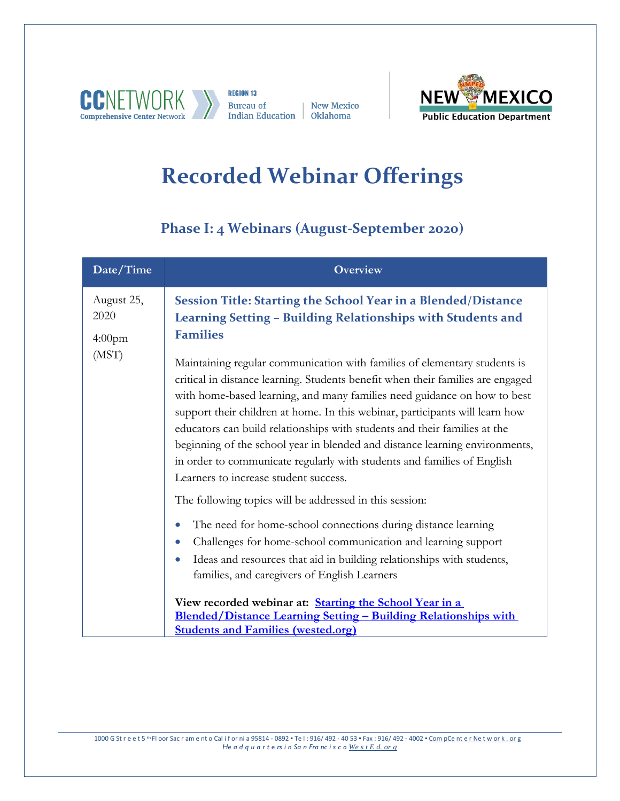

**REGION 13 Bureau of** Indian Education | Oklahoma

| New Mexico



## **Recorded Webinar Offerings**

## **Phase I: 4 Webinars (August-September 2020)**

| Date/Time                                | <b>Overview</b>                                                                                                                                                                                                                                                                                                                                                                                                                                                                                                                                                                                                                                                                                                                                                                                                                                                                                                                                                                                                                                                                                |
|------------------------------------------|------------------------------------------------------------------------------------------------------------------------------------------------------------------------------------------------------------------------------------------------------------------------------------------------------------------------------------------------------------------------------------------------------------------------------------------------------------------------------------------------------------------------------------------------------------------------------------------------------------------------------------------------------------------------------------------------------------------------------------------------------------------------------------------------------------------------------------------------------------------------------------------------------------------------------------------------------------------------------------------------------------------------------------------------------------------------------------------------|
| August 25,<br>2020<br>$4:00$ pm<br>(MST) | Session Title: Starting the School Year in a Blended/Distance<br>Learning Setting - Building Relationships with Students and<br><b>Families</b><br>Maintaining regular communication with families of elementary students is<br>critical in distance learning. Students benefit when their families are engaged<br>with home-based learning, and many families need guidance on how to best<br>support their children at home. In this webinar, participants will learn how<br>educators can build relationships with students and their families at the<br>beginning of the school year in blended and distance learning environments,<br>in order to communicate regularly with students and families of English<br>Learners to increase student success.<br>The following topics will be addressed in this session:<br>The need for home-school connections during distance learning<br>$\bullet$<br>Challenges for home-school communication and learning support<br>Ideas and resources that aid in building relationships with students,<br>families, and caregivers of English Learners |
|                                          | View recorded webinar at: <i>Starting the School Year in a</i><br><b>Blended/Distance Learning Setting - Building Relationships with</b><br><b>Students and Families (wested.org)</b>                                                                                                                                                                                                                                                                                                                                                                                                                                                                                                                                                                                                                                                                                                                                                                                                                                                                                                          |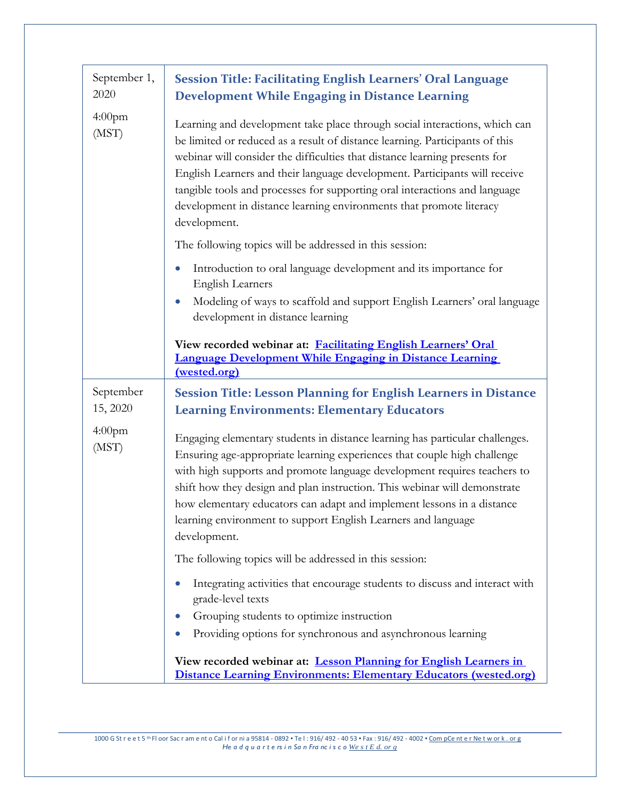| September 1,<br>2020        | <b>Session Title: Facilitating English Learners' Oral Language</b><br><b>Development While Engaging in Distance Learning</b>                                                                                                                                                                                                                                                                                                                                                                |
|-----------------------------|---------------------------------------------------------------------------------------------------------------------------------------------------------------------------------------------------------------------------------------------------------------------------------------------------------------------------------------------------------------------------------------------------------------------------------------------------------------------------------------------|
| 4:00 <sub>pm</sub><br>(MST) | Learning and development take place through social interactions, which can<br>be limited or reduced as a result of distance learning. Participants of this<br>webinar will consider the difficulties that distance learning presents for<br>English Learners and their language development. Participants will receive<br>tangible tools and processes for supporting oral interactions and language<br>development in distance learning environments that promote literacy<br>development. |
|                             | The following topics will be addressed in this session:                                                                                                                                                                                                                                                                                                                                                                                                                                     |
|                             | Introduction to oral language development and its importance for<br>$\bullet$<br><b>English Learners</b>                                                                                                                                                                                                                                                                                                                                                                                    |
|                             | Modeling of ways to scaffold and support English Learners' oral language<br>development in distance learning                                                                                                                                                                                                                                                                                                                                                                                |
|                             | View recorded webinar at: Facilitating English Learners' Oral<br><b>Language Development While Engaging in Distance Learning</b><br>(wested.org)                                                                                                                                                                                                                                                                                                                                            |
| September                   | <b>Session Title: Lesson Planning for English Learners in Distance</b>                                                                                                                                                                                                                                                                                                                                                                                                                      |
| 15, 2020                    | <b>Learning Environments: Elementary Educators</b>                                                                                                                                                                                                                                                                                                                                                                                                                                          |
| 4:00 <sub>pm</sub><br>(MST) | Engaging elementary students in distance learning has particular challenges.<br>Ensuring age-appropriate learning experiences that couple high challenge<br>with high supports and promote language development requires teachers to<br>shift how they design and plan instruction. This webinar will demonstrate<br>how elementary educators can adapt and implement lessons in a distance<br>learning environment to support English Learners and language<br>development.                |
|                             | The following topics will be addressed in this session:                                                                                                                                                                                                                                                                                                                                                                                                                                     |
|                             | Integrating activities that encourage students to discuss and interact with<br>grade-level texts<br>Grouping students to optimize instruction                                                                                                                                                                                                                                                                                                                                               |
|                             | Providing options for synchronous and asynchronous learning<br>$\bullet$                                                                                                                                                                                                                                                                                                                                                                                                                    |
|                             | View recorded webinar at: Lesson Planning for English Learners in<br><b>Distance Learning Environments: Elementary Educators (wested.org)</b>                                                                                                                                                                                                                                                                                                                                               |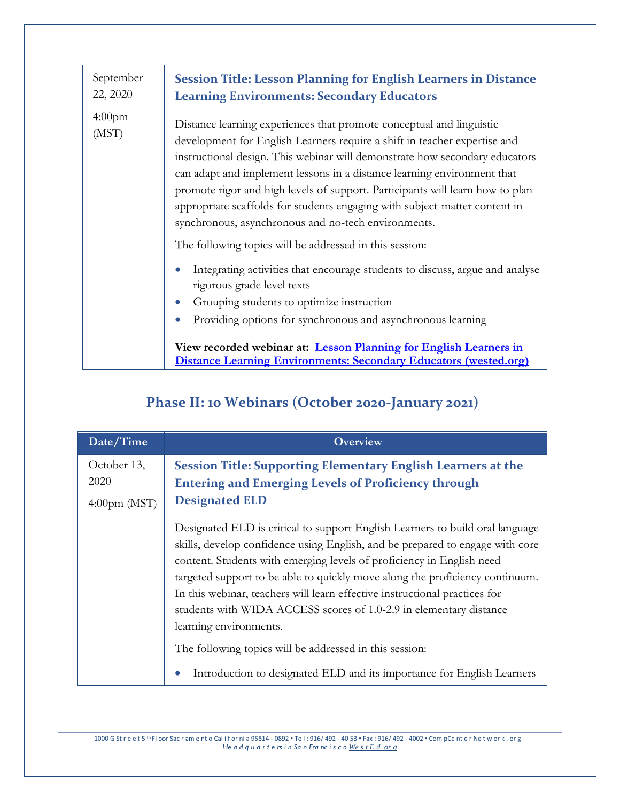| September<br>22, 2020       | <b>Session Title: Lesson Planning for English Learners in Distance</b><br><b>Learning Environments: Secondary Educators</b>                                                                                                                                                                                                                                                                                                                                                                                                                                                                                                                                                                                                                                                                                                                                                                 |
|-----------------------------|---------------------------------------------------------------------------------------------------------------------------------------------------------------------------------------------------------------------------------------------------------------------------------------------------------------------------------------------------------------------------------------------------------------------------------------------------------------------------------------------------------------------------------------------------------------------------------------------------------------------------------------------------------------------------------------------------------------------------------------------------------------------------------------------------------------------------------------------------------------------------------------------|
| 4:00 <sub>pm</sub><br>(MST) | Distance learning experiences that promote conceptual and linguistic<br>development for English Learners require a shift in teacher expertise and<br>instructional design. This webinar will demonstrate how secondary educators<br>can adapt and implement lessons in a distance learning environment that<br>promote rigor and high levels of support. Participants will learn how to plan<br>appropriate scaffolds for students engaging with subject-matter content in<br>synchronous, asynchronous and no-tech environments.<br>The following topics will be addressed in this session:<br>Integrating activities that encourage students to discuss, argue and analyse<br>rigorous grade level texts<br>Grouping students to optimize instruction<br>Providing options for synchronous and asynchronous learning<br>View recorded webinar at: Lesson Planning for English Learners in |
|                             | <b>Distance Learning Environments: Secondary Educators (wested.org)</b>                                                                                                                                                                                                                                                                                                                                                                                                                                                                                                                                                                                                                                                                                                                                                                                                                     |

## **Phase II: 10 Webinars (October 2020-January 2021)**

| Date/Time                                        | <b>Overview</b>                                                                                                                                                                                                                                                                                                                                                                                                                                                                                                                                                                                                                            |
|--------------------------------------------------|--------------------------------------------------------------------------------------------------------------------------------------------------------------------------------------------------------------------------------------------------------------------------------------------------------------------------------------------------------------------------------------------------------------------------------------------------------------------------------------------------------------------------------------------------------------------------------------------------------------------------------------------|
| October 13,<br>2020<br>$4:00 \text{pm} \, (MST)$ | Session Title: Supporting Elementary English Learners at the<br><b>Entering and Emerging Levels of Proficiency through</b><br><b>Designated ELD</b>                                                                                                                                                                                                                                                                                                                                                                                                                                                                                        |
|                                                  | Designated ELD is critical to support English Learners to build oral language<br>skills, develop confidence using English, and be prepared to engage with core<br>content. Students with emerging levels of proficiency in English need<br>targeted support to be able to quickly move along the proficiency continuum.<br>In this webinar, teachers will learn effective instructional practices for<br>students with WIDA ACCESS scores of 1.0-2.9 in elementary distance<br>learning environments.<br>The following topics will be addressed in this session:<br>Introduction to designated ELD and its importance for English Learners |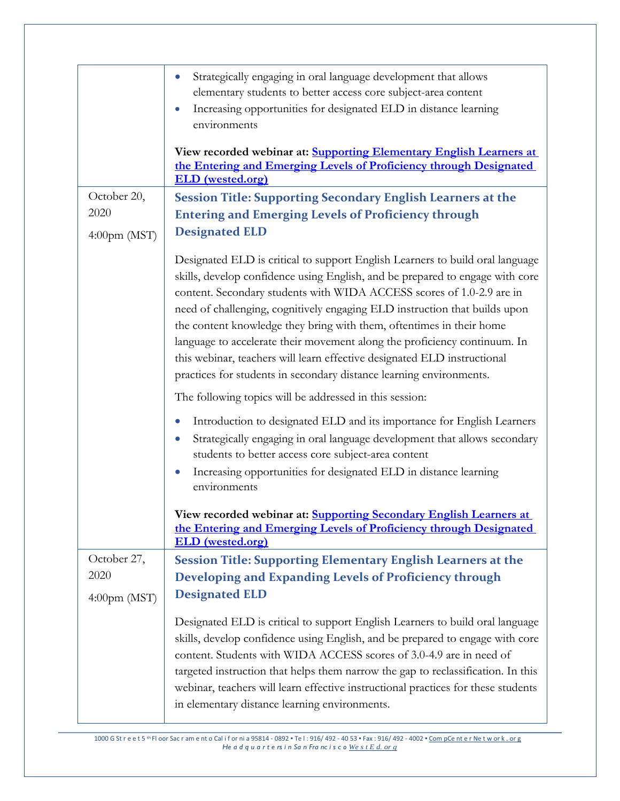|                                                  | Strategically engaging in oral language development that allows<br>$\bullet$<br>elementary students to better access core subject-area content<br>Increasing opportunities for designated ELD in distance learning<br>$\bullet$<br>environments                                                                                                                                                                                                                                                                                                                                                                               |
|--------------------------------------------------|-------------------------------------------------------------------------------------------------------------------------------------------------------------------------------------------------------------------------------------------------------------------------------------------------------------------------------------------------------------------------------------------------------------------------------------------------------------------------------------------------------------------------------------------------------------------------------------------------------------------------------|
|                                                  | View recorded webinar at: <b>Supporting Elementary English Learners at</b><br>the Entering and Emerging Levels of Proficiency through Designated<br><b>ELD</b> (wested.org)                                                                                                                                                                                                                                                                                                                                                                                                                                                   |
| October 20,<br>2020<br>$4:00 \text{pm} \, (MST)$ | <b>Session Title: Supporting Secondary English Learners at the</b><br><b>Entering and Emerging Levels of Proficiency through</b><br><b>Designated ELD</b>                                                                                                                                                                                                                                                                                                                                                                                                                                                                     |
|                                                  | Designated ELD is critical to support English Learners to build oral language<br>skills, develop confidence using English, and be prepared to engage with core<br>content. Secondary students with WIDA ACCESS scores of 1.0-2.9 are in<br>need of challenging, cognitively engaging ELD instruction that builds upon<br>the content knowledge they bring with them, oftentimes in their home<br>language to accelerate their movement along the proficiency continuum. In<br>this webinar, teachers will learn effective designated ELD instructional<br>practices for students in secondary distance learning environments. |
|                                                  | The following topics will be addressed in this session:<br>Introduction to designated ELD and its importance for English Learners<br>$\bullet$<br>Strategically engaging in oral language development that allows secondary<br>$\bullet$<br>students to better access core subject-area content                                                                                                                                                                                                                                                                                                                               |
|                                                  | Increasing opportunities for designated ELD in distance learning<br>$\bullet$<br>environments                                                                                                                                                                                                                                                                                                                                                                                                                                                                                                                                 |
|                                                  | View recorded webinar at: Supporting Secondary English Learners at<br>the Entering and Emerging Levels of Proficiency through Designated<br><b>ELD</b> (wested.org)                                                                                                                                                                                                                                                                                                                                                                                                                                                           |
| October 27,<br>2020<br>$4:00 \text{pm} \, (MST)$ | <b>Session Title: Supporting Elementary English Learners at the</b><br>Developing and Expanding Levels of Proficiency through<br><b>Designated ELD</b>                                                                                                                                                                                                                                                                                                                                                                                                                                                                        |
|                                                  | Designated ELD is critical to support English Learners to build oral language<br>skills, develop confidence using English, and be prepared to engage with core<br>content. Students with WIDA ACCESS scores of 3.0-4.9 are in need of<br>targeted instruction that helps them narrow the gap to reclassification. In this<br>webinar, teachers will learn effective instructional practices for these students<br>in elementary distance learning environments.                                                                                                                                                               |

1000 G St r e e t 5 <sup>th</sup> Fl oor Sac r am e nt o Cal if or ni a 95814 - 0892 • Te l : 916/ 492 - 4053 • Fax : 916/ 492 - 4002 • <u>Com pCe nt e r Ne t w or k . or g</u><br>He a d q u a r t e rs i n Sa n Fra nc i s c o <u>We s t E d. </u>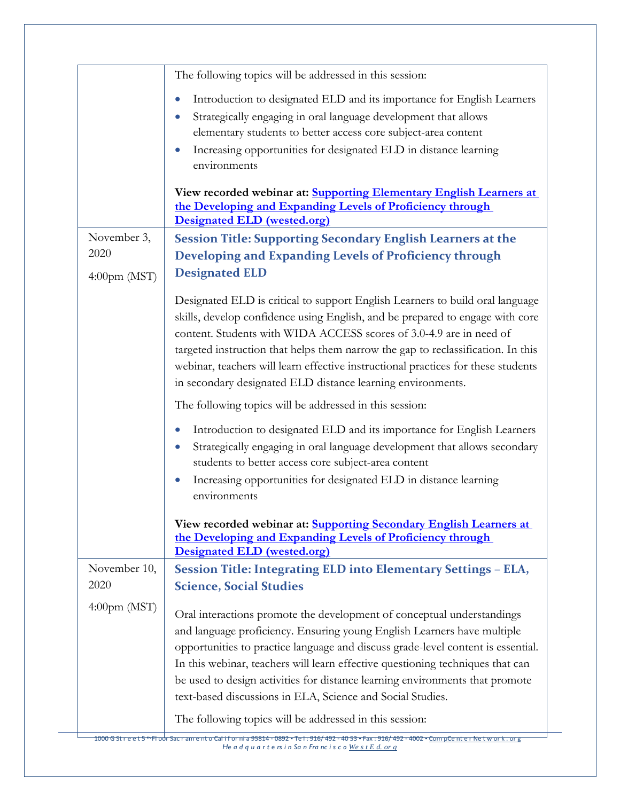|                           | The following topics will be addressed in this session:                                                                           |
|---------------------------|-----------------------------------------------------------------------------------------------------------------------------------|
|                           | Introduction to designated ELD and its importance for English Learners<br>$\bullet$                                               |
|                           | Strategically engaging in oral language development that allows<br>$\bullet$                                                      |
|                           | elementary students to better access core subject-area content                                                                    |
|                           | Increasing opportunities for designated ELD in distance learning<br>$\bullet$                                                     |
|                           | environments                                                                                                                      |
|                           |                                                                                                                                   |
|                           | View recorded webinar at: Supporting Elementary English Learners at<br>the Developing and Expanding Levels of Proficiency through |
|                           | Designated ELD (wested.org)                                                                                                       |
| November 3,               | Session Title: Supporting Secondary English Learners at the                                                                       |
| 2020                      | Developing and Expanding Levels of Proficiency through                                                                            |
| $4:00 \text{pm} \, (MST)$ | <b>Designated ELD</b>                                                                                                             |
|                           | Designated ELD is critical to support English Learners to build oral language                                                     |
|                           | skills, develop confidence using English, and be prepared to engage with core                                                     |
|                           | content. Students with WIDA ACCESS scores of 3.0-4.9 are in need of                                                               |
|                           | targeted instruction that helps them narrow the gap to reclassification. In this                                                  |
|                           | webinar, teachers will learn effective instructional practices for these students                                                 |
|                           | in secondary designated ELD distance learning environments.                                                                       |
|                           | The following topics will be addressed in this session:                                                                           |
|                           | Introduction to designated ELD and its importance for English Learners<br>$\bullet$                                               |
|                           | Strategically engaging in oral language development that allows secondary<br>$\bullet$                                            |
|                           | students to better access core subject-area content                                                                               |
|                           | Increasing opportunities for designated ELD in distance learning<br>$\bullet$                                                     |
|                           | environments                                                                                                                      |
|                           | View recorded webinar at: Supporting Secondary English Learners at                                                                |
|                           | the Developing and Expanding Levels of Proficiency through                                                                        |
|                           | Designated ELD (wested.org)                                                                                                       |
| November 10,              | Session Title: Integrating ELD into Elementary Settings - ELA,                                                                    |
| 2020                      | <b>Science, Social Studies</b>                                                                                                    |
| $4:00 \text{pm} \, (MST)$ | Oral interactions promote the development of conceptual understandings                                                            |
|                           | and language proficiency. Ensuring young English Learners have multiple                                                           |
|                           | opportunities to practice language and discuss grade-level content is essential.                                                  |
|                           | In this webinar, teachers will learn effective questioning techniques that can                                                    |
|                           | be used to design activities for distance learning environments that promote                                                      |
|                           | text-based discussions in ELA, Science and Social Studies.                                                                        |
|                           | The following topics will be addressed in this session:                                                                           |
|                           |                                                                                                                                   |

<del>1000 G Street 5 \* Floor Sacramento California 95814 - 0892 • Tel: 916/ 492 - 40 53 • Fax . 916/ 492 - 4002 • <u>CompCenter Network . org</u><br>He a d q u a r t ers in San Franc is cowest Ed. org</del>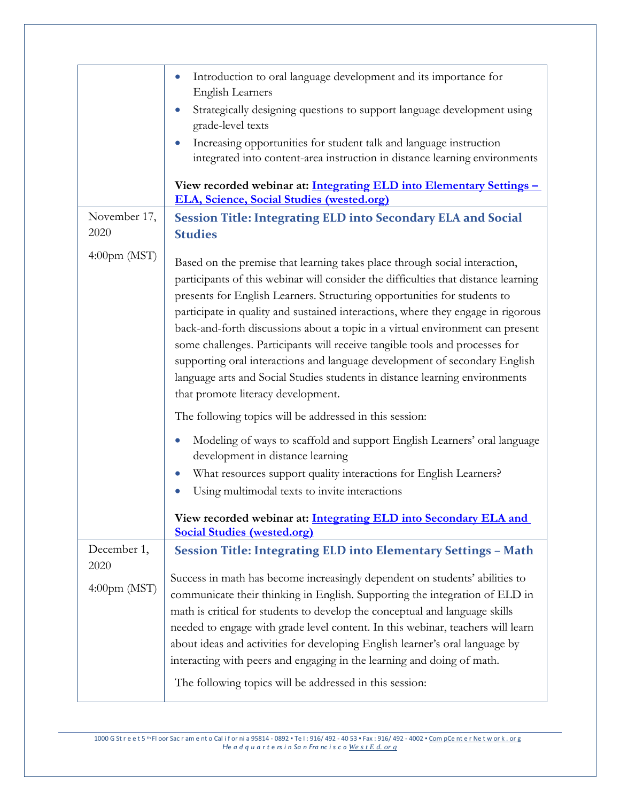|                           | Introduction to oral language development and its importance for<br><b>English Learners</b><br>Strategically designing questions to support language development using<br>grade-level texts<br>Increasing opportunities for student talk and language instruction<br>integrated into content-area instruction in distance learning environments<br>View recorded webinar at: Integrating ELD into Elementary Settings -<br><b>ELA, Science, Social Studies (wested.org)</b>                                                                                                                                                                                                                                                                                                                                                                |
|---------------------------|--------------------------------------------------------------------------------------------------------------------------------------------------------------------------------------------------------------------------------------------------------------------------------------------------------------------------------------------------------------------------------------------------------------------------------------------------------------------------------------------------------------------------------------------------------------------------------------------------------------------------------------------------------------------------------------------------------------------------------------------------------------------------------------------------------------------------------------------|
| November 17,<br>2020      | <b>Session Title: Integrating ELD into Secondary ELA and Social</b><br><b>Studies</b>                                                                                                                                                                                                                                                                                                                                                                                                                                                                                                                                                                                                                                                                                                                                                      |
| $4:00 \text{pm} \, (MST)$ | Based on the premise that learning takes place through social interaction,<br>participants of this webinar will consider the difficulties that distance learning<br>presents for English Learners. Structuring opportunities for students to<br>participate in quality and sustained interactions, where they engage in rigorous<br>back-and-forth discussions about a topic in a virtual environment can present<br>some challenges. Participants will receive tangible tools and processes for<br>supporting oral interactions and language development of secondary English<br>language arts and Social Studies students in distance learning environments<br>that promote literacy development.<br>The following topics will be addressed in this session:<br>Modeling of ways to scaffold and support English Learners' oral language |
|                           | development in distance learning<br>What resources support quality interactions for English Learners?<br>$\bullet$<br>Using multimodal texts to invite interactions                                                                                                                                                                                                                                                                                                                                                                                                                                                                                                                                                                                                                                                                        |
|                           | View recorded webinar at: Integrating ELD into Secondary ELA and<br><b>Social Studies (wested.org)</b>                                                                                                                                                                                                                                                                                                                                                                                                                                                                                                                                                                                                                                                                                                                                     |
| December 1,               | <b>Session Title: Integrating ELD into Elementary Settings - Math</b>                                                                                                                                                                                                                                                                                                                                                                                                                                                                                                                                                                                                                                                                                                                                                                      |
| 2020                      |                                                                                                                                                                                                                                                                                                                                                                                                                                                                                                                                                                                                                                                                                                                                                                                                                                            |
| 4:00pm (MST)              | Success in math has become increasingly dependent on students' abilities to<br>communicate their thinking in English. Supporting the integration of ELD in<br>math is critical for students to develop the conceptual and language skills<br>needed to engage with grade level content. In this webinar, teachers will learn<br>about ideas and activities for developing English learner's oral language by<br>interacting with peers and engaging in the learning and doing of math.<br>The following topics will be addressed in this session:                                                                                                                                                                                                                                                                                          |
|                           |                                                                                                                                                                                                                                                                                                                                                                                                                                                                                                                                                                                                                                                                                                                                                                                                                                            |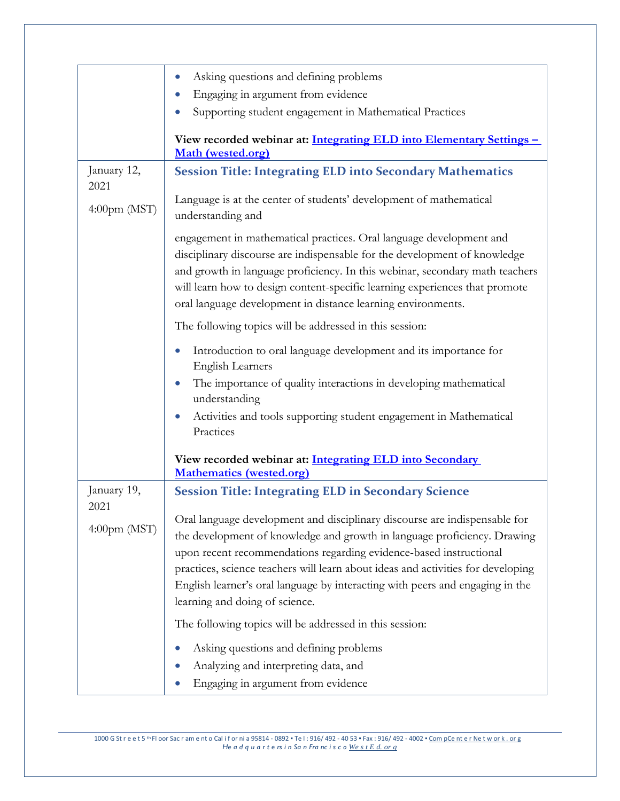|                           | Asking questions and defining problems<br>$\bullet$                                                                                                                                                                                                                                                                                                                                                                                 |
|---------------------------|-------------------------------------------------------------------------------------------------------------------------------------------------------------------------------------------------------------------------------------------------------------------------------------------------------------------------------------------------------------------------------------------------------------------------------------|
|                           | Engaging in argument from evidence                                                                                                                                                                                                                                                                                                                                                                                                  |
|                           | Supporting student engagement in Mathematical Practices                                                                                                                                                                                                                                                                                                                                                                             |
|                           | View recorded webinar at: Integrating ELD into Elementary Settings -<br>Math (wested.org)                                                                                                                                                                                                                                                                                                                                           |
| January 12,<br>2021       | <b>Session Title: Integrating ELD into Secondary Mathematics</b>                                                                                                                                                                                                                                                                                                                                                                    |
| $4:00$ pm (MST)           | Language is at the center of students' development of mathematical<br>understanding and                                                                                                                                                                                                                                                                                                                                             |
|                           | engagement in mathematical practices. Oral language development and<br>disciplinary discourse are indispensable for the development of knowledge<br>and growth in language proficiency. In this webinar, secondary math teachers<br>will learn how to design content-specific learning experiences that promote<br>oral language development in distance learning environments.                                                     |
|                           | The following topics will be addressed in this session:                                                                                                                                                                                                                                                                                                                                                                             |
|                           | Introduction to oral language development and its importance for<br><b>English Learners</b><br>The importance of quality interactions in developing mathematical                                                                                                                                                                                                                                                                    |
|                           | understanding                                                                                                                                                                                                                                                                                                                                                                                                                       |
|                           | Activities and tools supporting student engagement in Mathematical<br>Practices                                                                                                                                                                                                                                                                                                                                                     |
|                           | View recorded webinar at: Integrating ELD into Secondary<br><b>Mathematics (wested.org)</b>                                                                                                                                                                                                                                                                                                                                         |
| January 19,<br>2021       | <b>Session Title: Integrating ELD in Secondary Science</b>                                                                                                                                                                                                                                                                                                                                                                          |
| $4:00 \text{pm} \, (MST)$ | Oral language development and disciplinary discourse are indispensable for<br>the development of knowledge and growth in language proficiency. Drawing<br>upon recent recommendations regarding evidence-based instructional<br>practices, science teachers will learn about ideas and activities for developing<br>English learner's oral language by interacting with peers and engaging in the<br>learning and doing of science. |
|                           | The following topics will be addressed in this session:                                                                                                                                                                                                                                                                                                                                                                             |
|                           | Asking questions and defining problems                                                                                                                                                                                                                                                                                                                                                                                              |
|                           | Analyzing and interpreting data, and                                                                                                                                                                                                                                                                                                                                                                                                |
|                           | Engaging in argument from evidence                                                                                                                                                                                                                                                                                                                                                                                                  |